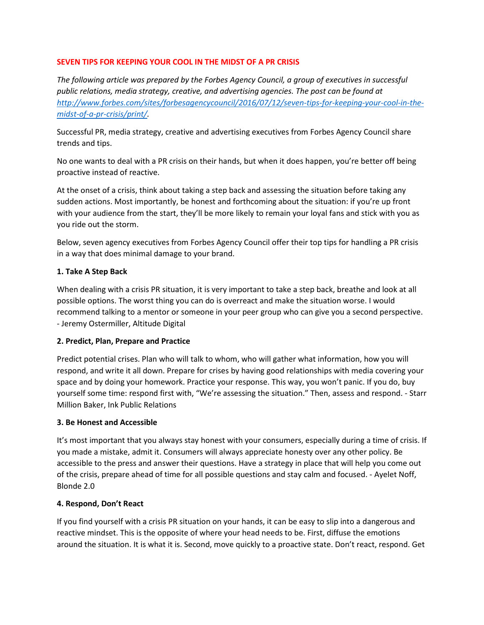## **SEVEN TIPS FOR KEEPING YOUR COOL IN THE MIDST OF A PR CRISIS**

*The following article was prepared by the Forbes Agency Council, a group of executives in successful public relations, media strategy, creative, and advertising agencies. The post can be found at [http://www.forbes.com/sites/forbesagencycouncil/2016/07/12/seven-tips-for-keeping-your-cool-in-the](http://www.forbes.com/sites/forbesagencycouncil/2016/07/12/seven-tips-for-keeping-your-cool-in-the-midst-of-a-pr-crisis/print/)[midst-of-a-pr-crisis/print/.](http://www.forbes.com/sites/forbesagencycouncil/2016/07/12/seven-tips-for-keeping-your-cool-in-the-midst-of-a-pr-crisis/print/)* 

Successful PR, media strategy, creative and advertising executives from Forbes Agency Council share trends and tips.

No one wants to deal with a PR crisis on their hands, but when it does happen, you're better off being proactive instead of reactive.

At the onset of a crisis, think about taking a step back and assessing the situation before taking any sudden actions. Most importantly, be honest and forthcoming about the situation: if you're up front with your audience from the start, they'll be more likely to remain your loyal fans and stick with you as you ride out the storm.

Below, seven agency executives from Forbes Agency Council offer their top tips for handling a PR crisis in a way that does minimal damage to your brand.

# **1. Take A Step Back**

When dealing with a crisis PR situation, it is very important to take a step back, breathe and look at all possible options. The worst thing you can do is overreact and make the situation worse. I would recommend talking to a mentor or someone in your peer group who can give you a second perspective. - Jeremy Ostermiller, Altitude Digital

### **2. Predict, Plan, Prepare and Practice**

Predict potential crises. Plan who will talk to whom, who will gather what information, how you will respond, and write it all down. Prepare for crises by having good relationships with media covering your space and by doing your homework. Practice your response. This way, you won't panic. If you do, buy yourself some time: respond first with, "We're assessing the situation." Then, assess and respond. - Starr Million Baker, Ink Public Relations

### **3. Be Honest and Accessible**

It's most important that you always stay honest with your consumers, especially during a time of crisis. If you made a mistake, admit it. Consumers will always appreciate honesty over any other policy. Be accessible to the press and answer their questions. Have a strategy in place that will help you come out of the crisis, prepare ahead of time for all possible questions and stay calm and focused. - Ayelet Noff, Blonde 2.0

### **4. Respond, Don't React**

If you find yourself with a crisis PR situation on your hands, it can be easy to slip into a dangerous and reactive mindset. This is the opposite of where your head needs to be. First, diffuse the emotions around the situation. It is what it is. Second, move quickly to a proactive state. Don't react, respond. Get